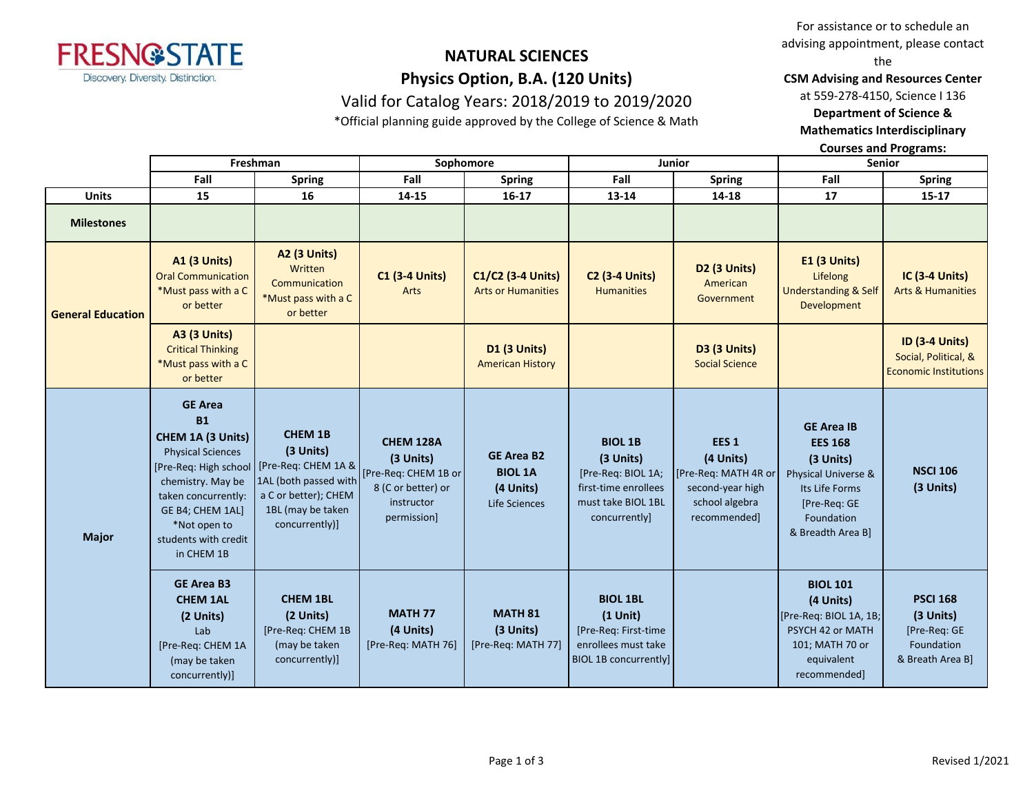

# **NATURAL SCIENCES Physics Option, B.A. (120 Units)**

Valid for Catalog Years: 2018/2019 to 2019/2020

\*Official planning guide approved by the College of Science & Math

For assistance or to schedule an advising appointment, please contact the

**CSM Advising and Resources Center**

at 559-278-4150, Science I 136

**Department of Science & Mathematics Interdisciplinary** 

**Courses and Programs:**

|                          | Freshman                                                                                                                                                                                                                    |                                                                                                                                            | Sophomore                                                                                         |                                                                   | <b>Junior</b>                                                                                                    |                                                                                                             | <b>Senior</b>                                                                                                                                |                                                                                |
|--------------------------|-----------------------------------------------------------------------------------------------------------------------------------------------------------------------------------------------------------------------------|--------------------------------------------------------------------------------------------------------------------------------------------|---------------------------------------------------------------------------------------------------|-------------------------------------------------------------------|------------------------------------------------------------------------------------------------------------------|-------------------------------------------------------------------------------------------------------------|----------------------------------------------------------------------------------------------------------------------------------------------|--------------------------------------------------------------------------------|
|                          | Fall                                                                                                                                                                                                                        | <b>Spring</b>                                                                                                                              | Fall                                                                                              | <b>Spring</b>                                                     | Fall                                                                                                             | <b>Spring</b>                                                                                               | Fall                                                                                                                                         | <b>Spring</b>                                                                  |
| <b>Units</b>             | 15                                                                                                                                                                                                                          | 16                                                                                                                                         | 14-15                                                                                             | $16 - 17$                                                         | 13-14                                                                                                            | 14-18                                                                                                       | 17                                                                                                                                           | $15 - 17$                                                                      |
| <b>Milestones</b>        |                                                                                                                                                                                                                             |                                                                                                                                            |                                                                                                   |                                                                   |                                                                                                                  |                                                                                                             |                                                                                                                                              |                                                                                |
| <b>General Education</b> | <b>A1 (3 Units)</b><br><b>Oral Communication</b><br>*Must pass with a C<br>or better                                                                                                                                        | <b>A2 (3 Units)</b><br>Written<br>Communication<br>*Must pass with a C<br>or better                                                        | <b>C1 (3-4 Units)</b><br>Arts                                                                     | C1/C2 (3-4 Units)<br><b>Arts or Humanities</b>                    | <b>C2 (3-4 Units)</b><br><b>Humanities</b>                                                                       | D2 (3 Units)<br>American<br>Government                                                                      | E1 (3 Units)<br>Lifelong<br><b>Understanding &amp; Self</b><br>Development                                                                   | <b>IC (3-4 Units)</b><br><b>Arts &amp; Humanities</b>                          |
|                          | <b>A3 (3 Units)</b><br><b>Critical Thinking</b><br>*Must pass with a C<br>or better                                                                                                                                         |                                                                                                                                            |                                                                                                   | D1 (3 Units)<br><b>American History</b>                           |                                                                                                                  | D3 (3 Units)<br><b>Social Science</b>                                                                       |                                                                                                                                              | <b>ID (3-4 Units)</b><br>Social, Political, &<br><b>Economic Institutions</b>  |
| <b>Major</b>             | <b>GE Area</b><br><b>B1</b><br>CHEM 1A (3 Units)<br><b>Physical Sciences</b><br>[Pre-Req: High school<br>chemistry. May be<br>taken concurrently:<br>GE B4; CHEM 1AL]<br>*Not open to<br>students with credit<br>in CHEM 1B | <b>CHEM 1B</b><br>(3 Units)<br>[Pre-Req: CHEM 1A &<br>1AL (both passed with<br>a C or better); CHEM<br>1BL (may be taken<br>concurrently)] | CHEM 128A<br>(3 Units)<br>[Pre-Req: CHEM 1B or<br>8 (C or better) or<br>instructor<br>permission] | <b>GE Area B2</b><br><b>BIOL 1A</b><br>(4 Units)<br>Life Sciences | <b>BIOL 1B</b><br>(3 Units)<br>[Pre-Req: BIOL 1A;<br>first-time enrollees<br>must take BIOL 1BL<br>concurrently] | EES <sub>1</sub><br>(4 Units)<br>[Pre-Req: MATH 4R or<br>second-year high<br>school algebra<br>recommended] | <b>GE Area IB</b><br><b>EES 168</b><br>(3 Units)<br>Physical Universe &<br>Its Life Forms<br>[Pre-Req: GE<br>Foundation<br>& Breadth Area B] | <b>NSCI 106</b><br>(3 Units)                                                   |
|                          | <b>GE Area B3</b><br><b>CHEM 1AL</b><br>(2 Units)<br>Lab<br>[Pre-Req: CHEM 1A<br>(may be taken<br>concurrently)]                                                                                                            | <b>CHEM 1BL</b><br>(2 Units)<br>[Pre-Req: CHEM 1B<br>(may be taken<br>concurrently)]                                                       | <b>MATH 77</b><br>(4 Units)<br>[Pre-Req: MATH 76]                                                 | <b>MATH 81</b><br>(3 Units)<br>[Pre-Req: MATH 77]                 | <b>BIOL 1BL</b><br>$(1$ Unit)<br>[Pre-Req: First-time<br>enrollees must take<br><b>BIOL 1B concurrently]</b>     |                                                                                                             | <b>BIOL 101</b><br>(4 Units)<br>[Pre-Req: BIOL 1A, 1B;<br>PSYCH 42 or MATH<br>101; MATH 70 or<br>equivalent<br>recommended]                  | <b>PSCI 168</b><br>(3 Units)<br>[Pre-Req: GE<br>Foundation<br>& Breath Area B] |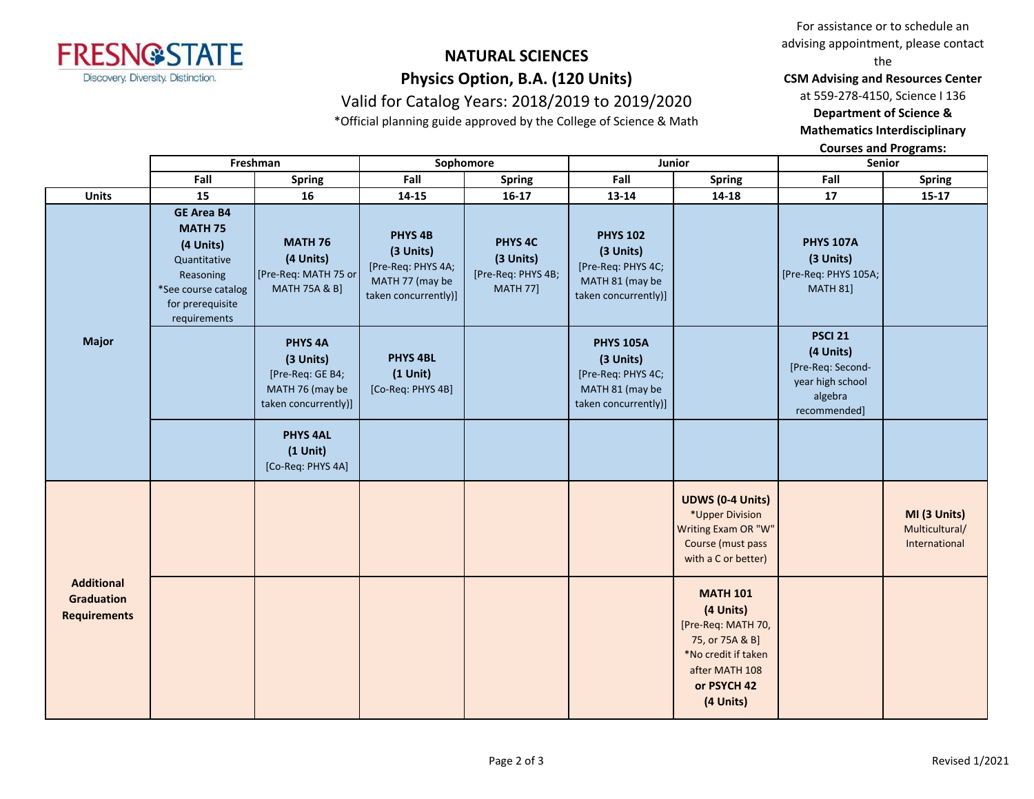

# **NATURAL SCIENCES Physics Option, B.A. (120 Units)**

Valid for Catalog Years: 2018/2019 to 2019/2020 \*Official planning guide approved by the College of Science & Math

For assistance or to schedule an advising appointment, please contact the

**CSM Advising and Resources Center**

at 559-278-4150, Science I 136

**Department of Science &** 

**Mathematics Interdisciplinary** 

**Courses and Programs:**

|                                                               |                                                                                                                                          | Freshman<br>Sophomore                                                                          |                                                                                                  | Junior                                                                   |                                                                                                | Senior                                                                                                                                     |                                                                                                 |                                                 |
|---------------------------------------------------------------|------------------------------------------------------------------------------------------------------------------------------------------|------------------------------------------------------------------------------------------------|--------------------------------------------------------------------------------------------------|--------------------------------------------------------------------------|------------------------------------------------------------------------------------------------|--------------------------------------------------------------------------------------------------------------------------------------------|-------------------------------------------------------------------------------------------------|-------------------------------------------------|
|                                                               | Fall                                                                                                                                     | <b>Spring</b>                                                                                  | Fall                                                                                             | <b>Spring</b>                                                            | Fall                                                                                           | <b>Spring</b>                                                                                                                              | Fall                                                                                            | <b>Spring</b>                                   |
| <b>Units</b>                                                  | 15                                                                                                                                       | 16                                                                                             | 14-15                                                                                            | $16-17$                                                                  | 13-14                                                                                          | 14-18                                                                                                                                      | 17                                                                                              | $15 - 17$                                       |
| <b>Major</b>                                                  | <b>GE Area B4</b><br><b>MATH 75</b><br>(4 Units)<br>Quantitative<br>Reasoning<br>*See course catalog<br>for prerequisite<br>requirements | <b>MATH 76</b><br>(4 Units)<br>[Pre-Req: MATH 75 or<br><b>MATH 75A &amp; B]</b>                | PHYS <sub>4B</sub><br>(3 Units)<br>[Pre-Req: PHYS 4A;<br>MATH 77 (may be<br>taken concurrently)] | PHYS <sub>4C</sub><br>(3 Units)<br>[Pre-Req: PHYS 4B;<br><b>MATH 77]</b> | <b>PHYS 102</b><br>(3 Units)<br>[Pre-Req: PHYS 4C;<br>MATH 81 (may be<br>taken concurrently)]  |                                                                                                                                            | <b>PHYS 107A</b><br>(3 Units)<br>[Pre-Req: PHYS 105A;<br><b>MATH 81]</b>                        |                                                 |
|                                                               |                                                                                                                                          | PHYS <sub>4A</sub><br>(3 Units)<br>[Pre-Req: GE B4;<br>MATH 76 (may be<br>taken concurrently)] | <b>PHYS 4BL</b><br>$(1$ Unit)<br>[Co-Req: PHYS 4B]                                               |                                                                          | <b>PHYS 105A</b><br>(3 Units)<br>[Pre-Req: PHYS 4C;<br>MATH 81 (may be<br>taken concurrently)] |                                                                                                                                            | <b>PSCI 21</b><br>(4 Units)<br>[Pre-Req: Second-<br>year high school<br>algebra<br>recommended] |                                                 |
|                                                               |                                                                                                                                          | <b>PHYS 4AL</b><br>$(1$ Unit)<br>[Co-Req: PHYS 4A]                                             |                                                                                                  |                                                                          |                                                                                                |                                                                                                                                            |                                                                                                 |                                                 |
| <b>Additional</b><br><b>Graduation</b><br><b>Requirements</b> |                                                                                                                                          |                                                                                                |                                                                                                  |                                                                          |                                                                                                | <b>UDWS (0-4 Units)</b><br>*Upper Division<br>Writing Exam OR "W"<br>Course (must pass<br>with a C or better)                              |                                                                                                 | MI (3 Units)<br>Multicultural/<br>International |
|                                                               |                                                                                                                                          |                                                                                                |                                                                                                  |                                                                          |                                                                                                | <b>MATH 101</b><br>(4 Units)<br>[Pre-Req: MATH 70,<br>75, or 75A & B]<br>*No credit if taken<br>after MATH 108<br>or PSYCH 42<br>(4 Units) |                                                                                                 |                                                 |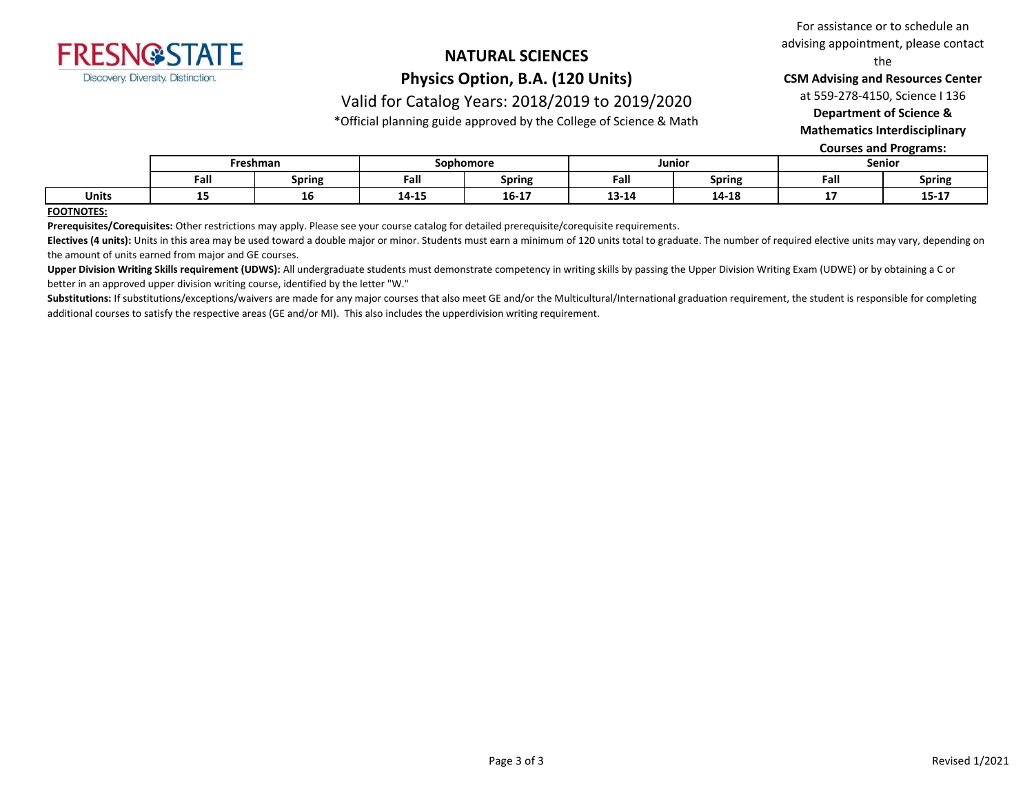

### **NATURAL SCIENCES Physics Option, B.A. (120 Units)**

### Valid for Catalog Years: 2018/2019 to 2019/2020

\*Official planning guide approved by the College of Science & Math

For assistance or to schedule an advising appointment, please contact

the

**CSM Advising and Resources Center**

at 559-278-4150, Science I 136

**Department of Science &** 

**Mathematics Interdisciplinary** 

**Courses and Programs:**

|              | Freshman |               | Sophomore        |                    | Junior        |               | Senior |                  |
|--------------|----------|---------------|------------------|--------------------|---------------|---------------|--------|------------------|
|              | Fall     | <b>Spring</b> | Fall             | <b>Spring</b>      | Fall          | - -<br>Spring | Fall   | <b>Spring</b>    |
| <b>Units</b> |          | тo            | 4 A A F<br>14-15 | -- --<br>$16 - 17$ | 1914<br>13-14 | 14-18         | --     | $- - -$<br>15-17 |

#### **FOOTNOTES:**

**Prerequisites/Corequisites:** Other restrictions may apply. Please see your course catalog for detailed prerequisite/corequisite requirements.

Electives (4 units): Units in this area may be used toward a double major or minor. Students must earn a minimum of 120 units total to graduate. The number of required elective units may vary, depending on the amount of units earned from major and GE courses.

Upper Division Writing Skills requirement (UDWS): All undergraduate students must demonstrate competency in writing skills by passing the Upper Division Writing Exam (UDWE) or by obtaining a C or better in an approved upper division writing course, identified by the letter "W."

Substitutions: If substitutions/exceptions/waivers are made for any major courses that also meet GE and/or the Multicultural/International graduation requirement, the student is responsible for completing additional courses to satisfy the respective areas (GE and/or MI). This also includes the upperdivision writing requirement.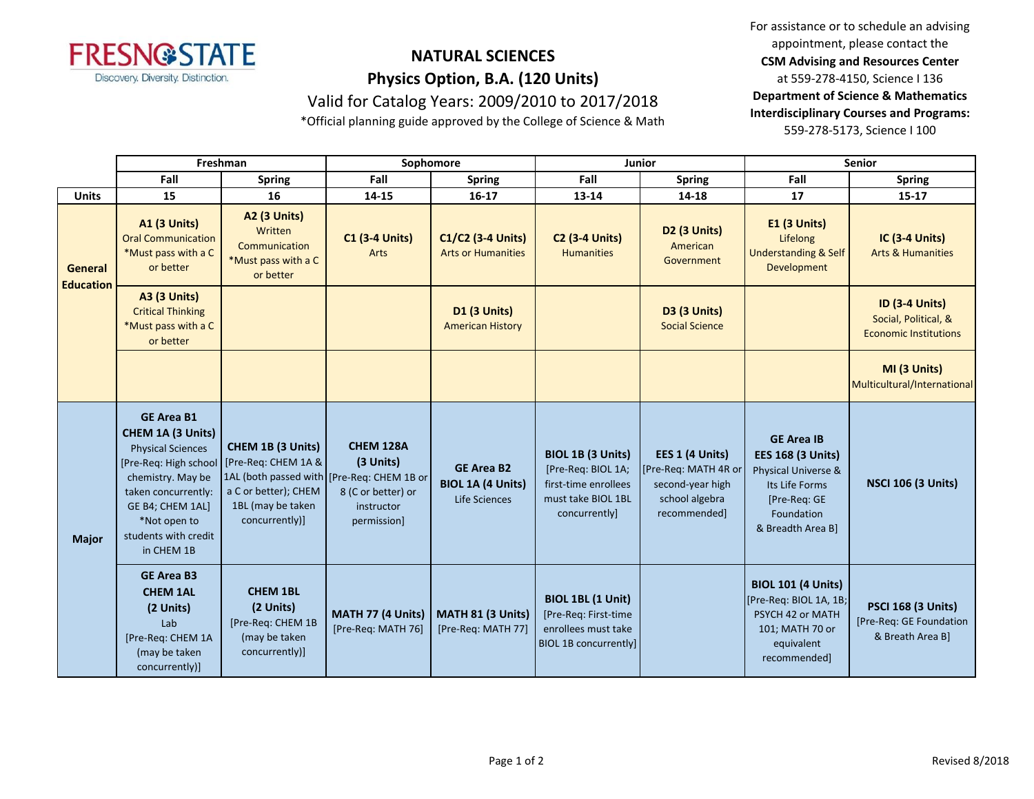

### **NATURAL SCIENCES Physics Option, B.A. (120 Units)** Valid for Catalog Years: 2009/2010 to 2017/2018

\*Official planning guide approved by the College of Science & Math

For assistance or to schedule an advising appointment, please contact the **CSM Advising and Resources Center** at 559-278-4150, Science I 136 **Department of Science & Mathematics Interdisciplinary Courses and Programs:** 559-278-5173, Science I 100

|                             | Freshman                                                                                                                                                                                                                 |                                                                                                                                                              | Sophomore                                                                        |                                                                | Junior                                                                                                        |                                                                                               | Senior                                                                                                                                    |                                                                               |
|-----------------------------|--------------------------------------------------------------------------------------------------------------------------------------------------------------------------------------------------------------------------|--------------------------------------------------------------------------------------------------------------------------------------------------------------|----------------------------------------------------------------------------------|----------------------------------------------------------------|---------------------------------------------------------------------------------------------------------------|-----------------------------------------------------------------------------------------------|-------------------------------------------------------------------------------------------------------------------------------------------|-------------------------------------------------------------------------------|
|                             | Fall                                                                                                                                                                                                                     | <b>Spring</b>                                                                                                                                                | Fall                                                                             | Spring                                                         | Fall                                                                                                          | <b>Spring</b>                                                                                 | Fall                                                                                                                                      | <b>Spring</b>                                                                 |
| <b>Units</b>                | 15                                                                                                                                                                                                                       | 16                                                                                                                                                           | 14-15                                                                            | $16 - 17$                                                      | 13-14                                                                                                         | 14-18                                                                                         | 17                                                                                                                                        | $15 - 17$                                                                     |
| General<br><b>Education</b> | <b>A1 (3 Units)</b><br><b>Oral Communication</b><br>*Must pass with a C<br>or better                                                                                                                                     | <b>A2 (3 Units)</b><br>Written<br>Communication<br>*Must pass with a C<br>or better                                                                          | <b>C1 (3-4 Units)</b><br>Arts                                                    | C1/C2 (3-4 Units)<br><b>Arts or Humanities</b>                 | <b>C2 (3-4 Units)</b><br><b>Humanities</b>                                                                    | D <sub>2</sub> (3 Units)<br>American<br>Government                                            | <b>E1 (3 Units)</b><br>Lifelong<br><b>Understanding &amp; Self</b><br>Development                                                         | IC (3-4 Units)<br><b>Arts &amp; Humanities</b>                                |
|                             | <b>A3 (3 Units)</b><br><b>Critical Thinking</b><br>*Must pass with a C<br>or better                                                                                                                                      |                                                                                                                                                              |                                                                                  | <b>D1 (3 Units)</b><br><b>American History</b>                 |                                                                                                               | <b>D3 (3 Units)</b><br><b>Social Science</b>                                                  |                                                                                                                                           | <b>ID (3-4 Units)</b><br>Social, Political, &<br><b>Economic Institutions</b> |
|                             |                                                                                                                                                                                                                          |                                                                                                                                                              |                                                                                  |                                                                |                                                                                                               |                                                                                               |                                                                                                                                           | MI (3 Units)<br>Multicultural/International                                   |
| <b>Major</b>                | <b>GE Area B1</b><br><b>CHEM 1A (3 Units)</b><br><b>Physical Sciences</b><br>[Pre-Req: High school<br>chemistry. May be<br>taken concurrently:<br>GE B4; CHEM 1AL]<br>*Not open to<br>students with credit<br>in CHEM 1B | <b>CHEM 1B (3 Units)</b><br>[Pre-Req: CHEM 1A &<br>1AL (both passed with [Pre-Req: CHEM 1B or<br>a C or better); CHEM<br>1BL (may be taken<br>concurrently)] | <b>CHEM 128A</b><br>(3 Units)<br>8 (C or better) or<br>instructor<br>permission] | <b>GE Area B2</b><br><b>BIOL 1A (4 Units)</b><br>Life Sciences | <b>BIOL 1B (3 Units)</b><br>[Pre-Req: BIOL 1A;<br>first-time enrollees<br>must take BIOL 1BL<br>concurrently] | EES 1 (4 Units)<br>[Pre-Req: MATH 4R or<br>second-year high<br>school algebra<br>recommended] | <b>GE Area IB</b><br><b>EES 168 (3 Units)</b><br>Physical Universe &<br>Its Life Forms<br>[Pre-Req: GE<br>Foundation<br>& Breadth Area B] | <b>NSCI 106 (3 Units)</b>                                                     |
|                             | <b>GE Area B3</b><br><b>CHEM 1AL</b><br>(2 Units)<br>Lab<br>[Pre-Req: CHEM 1A<br>(may be taken<br>concurrently)]                                                                                                         | <b>CHEM 1BL</b><br>(2 Units)<br>[Pre-Req: CHEM 1B<br>(may be taken<br>concurrently)]                                                                         | MATH 77 (4 Units)<br>[Pre-Req: MATH 76]                                          | MATH 81 (3 Units)<br>[Pre-Req: MATH 77]                        | BIOL 1BL (1 Unit)<br>[Pre-Req: First-time<br>enrollees must take<br><b>BIOL 1B concurrently]</b>              |                                                                                               | <b>BIOL 101 (4 Units)</b><br>[Pre-Req: BIOL 1A, 1B;<br>PSYCH 42 or MATH<br>101; MATH 70 or<br>equivalent<br>recommended]                  | <b>PSCI 168 (3 Units)</b><br>[Pre-Req: GE Foundation<br>& Breath Area Bl      |